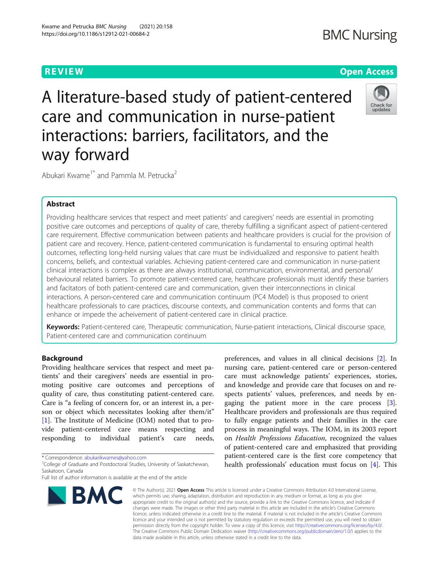# **BMC Nursing**

# **REVIEW CONTROL** CONTROL CONTROL CONTROL CONTROL CONTROL CONTROL CONTROL CONTROL CONTROL CONTROL CONTROL CONTROL CONTROL CONTROL CONTROL CONTROL CONTROL CONTROL CONTROL CONTROL CONTROL CONTROL CONTROL CONTROL CONTROL CONTR

A literature-based study of patient-centered care and communication in nurse-patient interactions: barriers, facilitators, and the way forward



Abukari Kwame<sup>1\*</sup> and Pammla M. Petrucka<sup>2</sup>

# Abstract

Providing healthcare services that respect and meet patients' and caregivers' needs are essential in promoting positive care outcomes and perceptions of quality of care, thereby fulfilling a significant aspect of patient-centered care requirement. Effective communication between patients and healthcare providers is crucial for the provision of patient care and recovery. Hence, patient-centered communication is fundamental to ensuring optimal health outcomes, reflecting long-held nursing values that care must be individualized and responsive to patient health concerns, beliefs, and contextual variables. Achieving patient-centered care and communication in nurse-patient clinical interactions is complex as there are always institutional, communication, environmental, and personal/ behavioural related barriers. To promote patient-centered care, healthcare professionals must identify these barriers and facitators of both patient-centered care and communication, given their interconnections in clinical interactions. A person-centered care and communication continuum (PC4 Model) is thus proposed to orient healthcare professionals to care practices, discourse contexts, and communication contents and forms that can enhance or impede the acheivement of patient-centered care in clinical practice.

Keywords: Patient-centered care, Therapeutic communication, Nurse-patient interactions, Clinical discourse space, Patient-centered care and communication continuum

# Background

Providing healthcare services that respect and meet patients' and their caregivers' needs are essential in promoting positive care outcomes and perceptions of quality of care, thus constituting patient-centered care. Care is "a feeling of concern for, or an interest in, a person or object which necessitates looking after them/it" [[1\]](#page-8-0). The Institute of Medicine (IOM) noted that to provide patient-centered care means respecting and responding to individual patient's care needs,

\* Correspondence: [abukarikwames@yahoo.com](mailto:abukarikwames@yahoo.com) <sup>1</sup>

<sup>1</sup>College of Graduate and Postdoctoral Studies, University of Saskatchewan, Saskatoon, Canada

Full list of author information is available at the end of the article



preferences, and values in all clinical decisions [[2\]](#page-8-0). In nursing care, patient-centered care or person-centered care must acknowledge patients' experiences, stories, and knowledge and provide care that focuses on and respects patients' values, preferences, and needs by engaging the patient more in the care process [\[3](#page-8-0)]. Healthcare providers and professionals are thus required to fully engage patients and their families in the care process in meaningful ways. The IOM, in its 2003 report on Health Professions Education, recognized the values of patient-centered care and emphasized that providing patient-centered care is the first core competency that health professionals' education must focus on [[4\]](#page-8-0). This

© The Author(s), 2021 **Open Access** This article is licensed under a Creative Commons Attribution 4.0 International License, which permits use, sharing, adaptation, distribution and reproduction in any medium or format, as long as you give appropriate credit to the original author(s) and the source, provide a link to the Creative Commons licence, and indicate if changes were made. The images or other third party material in this article are included in the article's Creative Commons licence, unless indicated otherwise in a credit line to the material. If material is not included in the article's Creative Commons licence and your intended use is not permitted by statutory regulation or exceeds the permitted use, you will need to obtain permission directly from the copyright holder. To view a copy of this licence, visit [http://creativecommons.org/licenses/by/4.0/.](http://creativecommons.org/licenses/by/4.0/) The Creative Commons Public Domain Dedication waiver [\(http://creativecommons.org/publicdomain/zero/1.0/](http://creativecommons.org/publicdomain/zero/1.0/)) applies to the data made available in this article, unless otherwise stated in a credit line to the data.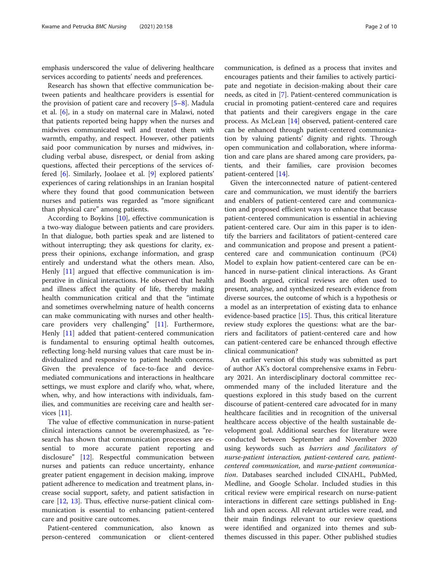emphasis underscored the value of delivering healthcare services according to patients' needs and preferences.

Research has shown that effective communication between patients and healthcare providers is essential for the provision of patient care and recovery [\[5](#page-8-0)–[8](#page-8-0)]. Madula et al. [\[6](#page-8-0)], in a study on maternal care in Malawi, noted that patients reported being happy when the nurses and midwives communicated well and treated them with warmth, empathy, and respect. However, other patients said poor communication by nurses and midwives, including verbal abuse, disrespect, or denial from asking questions, affected their perceptions of the services offered [[6\]](#page-8-0). Similarly, Joolaee et al. [\[9](#page-8-0)] explored patients' experiences of caring relationships in an Iranian hospital where they found that good communication between nurses and patients was regarded as "more significant than physical care" among patients.

According to Boykins [[10\]](#page-8-0), effective communication is a two-way dialogue between patients and care providers. In that dialogue, both parties speak and are listened to without interrupting; they ask questions for clarity, express their opinions, exchange information, and grasp entirely and understand what the others mean. Also, Henly [[11](#page-8-0)] argued that effective communication is imperative in clinical interactions. He observed that health and illness affect the quality of life, thereby making health communication critical and that the "intimate and sometimes overwhelming nature of health concerns can make communicating with nurses and other healthcare providers very challenging" [\[11](#page-8-0)]. Furthermore, Henly [[11](#page-8-0)] added that patient-centered communication is fundamental to ensuring optimal health outcomes, reflecting long-held nursing values that care must be individualized and responsive to patient health concerns. Given the prevalence of face-to-face and devicemediated communications and interactions in healthcare settings, we must explore and clarify who, what, where, when, why, and how interactions with individuals, families, and communities are receiving care and health services [\[11](#page-8-0)].

The value of effective communication in nurse-patient clinical interactions cannot be overemphasized, as "research has shown that communication processes are essential to more accurate patient reporting and disclosure" [\[12\]](#page-8-0). Respectful communication between nurses and patients can reduce uncertainty, enhance greater patient engagement in decision making, improve patient adherence to medication and treatment plans, increase social support, safety, and patient satisfaction in care [\[12](#page-8-0), [13\]](#page-8-0). Thus, effective nurse-patient clinical communication is essential to enhancing patient-centered care and positive care outcomes.

Patient-centered communication, also known as person-centered communication or client-centered

communication, is defined as a process that invites and encourages patients and their families to actively participate and negotiate in decision-making about their care needs, as cited in [\[7](#page-8-0)]. Patient-centered communication is crucial in promoting patient-centered care and requires that patients and their caregivers engage in the care process. As McLean [[14\]](#page-8-0) observed, patient-centered care can be enhanced through patient-centered communication by valuing patients' dignity and rights. Through open communication and collaboration, where information and care plans are shared among care providers, patients, and their families, care provision becomes patient-centered [[14\]](#page-8-0).

Given the interconnected nature of patient-centered care and communication, we must identify the barriers and enablers of patient-centered care and communication and proposed efficient ways to enhance that because patient-centered communication is essential in achieving patient-centered care. Our aim in this paper is to identify the barriers and facilitators of patient-centered care and communication and propose and present a patientcentered care and communication continuum (PC4) Model to explain how patient-centered care can be enhanced in nurse-patient clinical interactions. As Grant and Booth argued, critical reviews are often used to present, analyse, and synthesized research evidence from diverse sources, the outcome of which is a hypothesis or a model as an interpretation of existing data to enhance evidence-based practice [\[15\]](#page-8-0). Thus, this critical literature review study explores the questions: what are the barriers and facilitators of patient-centered care and how can patient-centered care be enhanced through effective clinical communication?

An earlier version of this study was submitted as part of author AK's doctoral comprehensive exams in February 2021. An interdisciplinary doctoral committee recommended many of the included literature and the questions explored in this study based on the current discourse of patient-centered care advocated for in many healthcare facilities and in recognition of the universal healthcare access objective of the health sustainable development goal. Additional searches for literature were conducted between September and November 2020 using keywords such as barriers and facilitators of nurse-patient interaction, patient-centered care, patientcentered communication, and nurse-patient communication. Databases searched included CINAHL, PubMed, Medline, and Google Scholar. Included studies in this critical review were empirical research on nurse-patient interactions in different care settings published in English and open access. All relevant articles were read, and their main findings relevant to our review questions were identified and organized into themes and subthemes discussed in this paper. Other published studies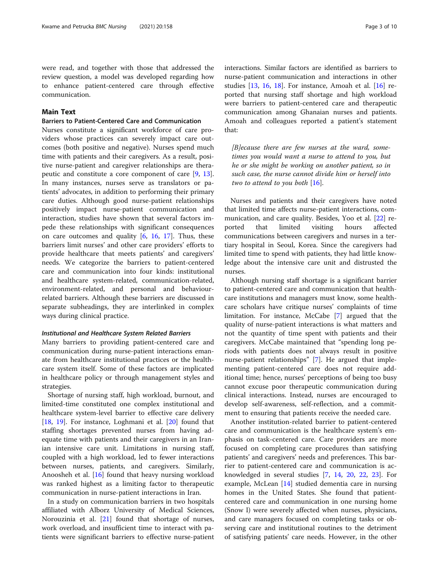were read, and together with those that addressed the review question, a model was developed regarding how to enhance patient-centered care through effective communication.

# Main Text

# Barriers to Patient-Centered Care and Communication

Nurses constitute a significant workforce of care providers whose practices can severely impact care outcomes (both positive and negative). Nurses spend much time with patients and their caregivers. As a result, positive nurse-patient and caregiver relationships are therapeutic and constitute a core component of care [[9](#page-8-0), [13](#page-8-0)]. In many instances, nurses serve as translators or patients' advocates, in addition to performing their primary care duties. Although good nurse-patient relationships positively impact nurse-patient communication and interaction, studies have shown that several factors impede these relationships with significant consequences on care outcomes and quality [\[6](#page-8-0), [16,](#page-8-0) [17\]](#page-8-0). Thus, these barriers limit nurses' and other care providers' efforts to provide healthcare that meets patients' and caregivers' needs. We categorize the barriers to patient-centered care and communication into four kinds: institutional and healthcare system-related, communication-related, environment-related, and personal and behaviourrelated barriers. Although these barriers are discussed in separate subheadings, they are interlinked in complex ways during clinical practice.

# Institutional and Healthcare System Related Barriers

Many barriers to providing patient-centered care and communication during nurse-patient interactions emanate from healthcare institutional practices or the healthcare system itself. Some of these factors are implicated in healthcare policy or through management styles and strategies.

Shortage of nursing staff, high workload, burnout, and limited-time constituted one complex institutional and healthcare system-level barrier to effective care delivery [[18,](#page-8-0) [19](#page-8-0)]. For instance, Loghmani et al. [[20\]](#page-9-0) found that staffing shortages prevented nurses from having adequate time with patients and their caregivers in an Iranian intensive care unit. Limitations in nursing staff, coupled with a high workload, led to fewer interactions between nurses, patients, and caregivers. Similarly, Anoosheh et al. [\[16](#page-8-0)] found that heavy nursing workload was ranked highest as a limiting factor to therapeutic communication in nurse-patient interactions in Iran.

In a study on communication barriers in two hospitals affiliated with Alborz University of Medical Sciences, Norouzinia et al. [[21\]](#page-9-0) found that shortage of nurses, work overload, and insufficient time to interact with patients were significant barriers to effective nurse-patient interactions. Similar factors are identified as barriers to nurse-patient communication and interactions in other studies [\[13,](#page-8-0) [16,](#page-8-0) [18\]](#page-8-0). For instance, Amoah et al. [[16\]](#page-8-0) reported that nursing staff shortage and high workload were barriers to patient-centered care and therapeutic communication among Ghanaian nurses and patients. Amoah and colleagues reported a patient's statement that:

 $[B]$ ecause there are few nurses at the ward, sometimes you would want a nurse to attend to you, but he or she might be working on another patient, so in such case, the nurse cannot divide him or herself into two to attend to you both  $[16]$ .

Nurses and patients and their caregivers have noted that limited time affects nurse-patient interactions, communication, and care quality. Besides, Yoo et al. [[22](#page-9-0)] reported that limited visiting hours affected communications between caregivers and nurses in a tertiary hospital in Seoul, Korea. Since the caregivers had limited time to spend with patients, they had little knowledge about the intensive care unit and distrusted the nurses.

Although nursing staff shortage is a significant barrier to patient-centered care and communication that healthcare institutions and managers must know, some healthcare scholars have critique nurses' complaints of time limitation. For instance, McCabe [\[7](#page-8-0)] argued that the quality of nurse-patient interactions is what matters and not the quantity of time spent with patients and their caregivers. McCabe maintained that "spending long periods with patients does not always result in positive nurse-patient relationships" [\[7](#page-8-0)]. He argued that implementing patient-centered care does not require additional time; hence, nurses' perceptions of being too busy cannot excuse poor therapeutic communication during clinical interactions. Instead, nurses are encouraged to develop self-awareness, self-reflection, and a commitment to ensuring that patients receive the needed care.

Another institution-related barrier to patient-centered care and communication is the healthcare system's emphasis on task-centered care. Care providers are more focused on completing care procedures than satisfying patients' and caregivers' needs and preferences. This barrier to patient-centered care and communication is acknowledged in several studies [[7,](#page-8-0) [14](#page-8-0), [20](#page-9-0), [22](#page-9-0), [23](#page-9-0)]. For example, McLean [\[14](#page-8-0)] studied dementia care in nursing homes in the United States. She found that patientcentered care and communication in one nursing home (Snow I) were severely affected when nurses, physicians, and care managers focused on completing tasks or observing care and institutional routines to the detriment of satisfying patients' care needs. However, in the other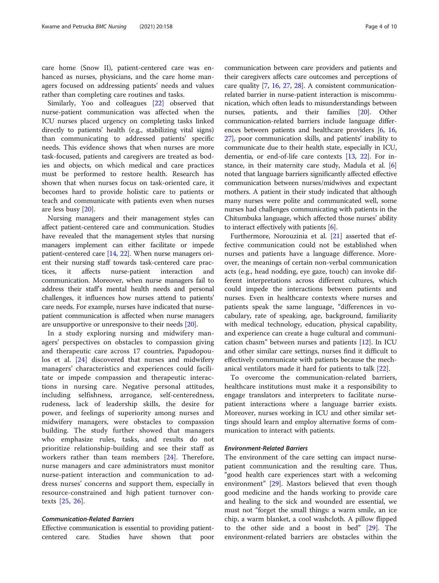care home (Snow II), patient-centered care was enhanced as nurses, physicians, and the care home managers focused on addressing patients' needs and values rather than completing care routines and tasks.

Similarly, Yoo and colleagues [[22\]](#page-9-0) observed that nurse-patient communication was affected when the ICU nurses placed urgency on completing tasks linked directly to patients' health (e.g., stabilizing vital signs) than communicating to addressed patients' specific needs. This evidence shows that when nurses are more task-focused, patients and caregivers are treated as bodies and objects, on which medical and care practices must be performed to restore health. Research has shown that when nurses focus on task-oriented care, it becomes hard to provide holistic care to patients or teach and communicate with patients even when nurses are less busy [\[20](#page-9-0)].

Nursing managers and their management styles can affect patient-centered care and communication. Studies have revealed that the management styles that nursing managers implement can either facilitate or impede patient-centered care [\[14,](#page-8-0) [22\]](#page-9-0). When nurse managers orient their nursing staff towards task-centered care practices, it affects nurse-patient interaction and communication. Moreover, when nurse managers fail to address their staff's mental health needs and personal challenges, it influences how nurses attend to patients' care needs. For example, nurses have indicated that nursepatient communication is affected when nurse managers are unsupportive or unresponsive to their needs [[20](#page-9-0)].

In a study exploring nursing and midwifery managers' perspectives on obstacles to compassion giving and therapeutic care across 17 countries, Papadopoulos et al. [\[24](#page-9-0)] discovered that nurses and midwifery managers' characteristics and experiences could facilitate or impede compassion and therapeutic interactions in nursing care. Negative personal attitudes, including selfishness, arrogance, self-centeredness, rudeness, lack of leadership skills, the desire for power, and feelings of superiority among nurses and midwifery managers, were obstacles to compassion building. The study further showed that managers who emphasize rules, tasks, and results do not prioritize relationship-building and see their staff as workers rather than team members [[24\]](#page-9-0). Therefore, nurse managers and care administrators must monitor nurse-patient interaction and communication to address nurses' concerns and support them, especially in resource-constrained and high patient turnover contexts [[25,](#page-9-0) [26\]](#page-9-0).

# Communication-Related Barriers

Effective communication is essential to providing patientcentered care. Studies have shown that poor communication between care providers and patients and their caregivers affects care outcomes and perceptions of care quality [\[7](#page-8-0), [16](#page-8-0), [27,](#page-9-0) [28\]](#page-9-0). A consistent communicationrelated barrier in nurse-patient interaction is miscommunication, which often leads to misunderstandings between nurses, patients, and their families [[20](#page-9-0)]. Other communication-related barriers include language differences between patients and healthcare providers [\[6](#page-8-0), [16](#page-8-0), [27](#page-9-0)], poor communication skills, and patients' inability to communicate due to their health state, especially in ICU, dementia, or end-of-life care contexts [\[13,](#page-8-0) [22](#page-9-0)]. For instance, in their maternity care study, Madula et al. [[6](#page-8-0)] noted that language barriers significantly affected effective communication between nurses/midwives and expectant mothers. A patient in their study indicated that although many nurses were polite and communicated well, some nurses had challenges communicating with patients in the Chitumbuka language, which affected those nurses' ability to interact effectively with patients [\[6\]](#page-8-0).

Furthermore, Norouzinia et al. [[21](#page-9-0)] asserted that effective communication could not be established when nurses and patients have a language difference. Moreover, the meanings of certain non-verbal communication acts (e.g., head nodding, eye gaze, touch) can invoke different interpretations across different cultures, which could impede the interactions between patients and nurses. Even in healthcare contexts where nurses and patients speak the same language, "differences in vocabulary, rate of speaking, age, background, familiarity with medical technology, education, physical capability, and experience can create a huge cultural and communication chasm" between nurses and patients [[12\]](#page-8-0). In ICU and other similar care settings, nurses find it difficult to effectively communicate with patients because the mechanical ventilators made it hard for patients to talk [\[22](#page-9-0)].

To overcome the communication-related barriers, healthcare institutions must make it a responsibility to engage translators and interpreters to facilitate nursepatient interactions where a language barrier exists. Moreover, nurses working in ICU and other similar settings should learn and employ alternative forms of communication to interact with patients.

# Environment-Related Barriers

The environment of the care setting can impact nursepatient communication and the resulting care. Thus, "good health care experiences start with a welcoming environment" [[29\]](#page-9-0). Mastors believed that even though good medicine and the hands working to provide care and healing to the sick and wounded are essential, we must not "forget the small things: a warm smile, an ice chip, a warm blanket, a cool washcloth. A pillow flipped to the other side and a boost in bed" [[29\]](#page-9-0). The environment-related barriers are obstacles within the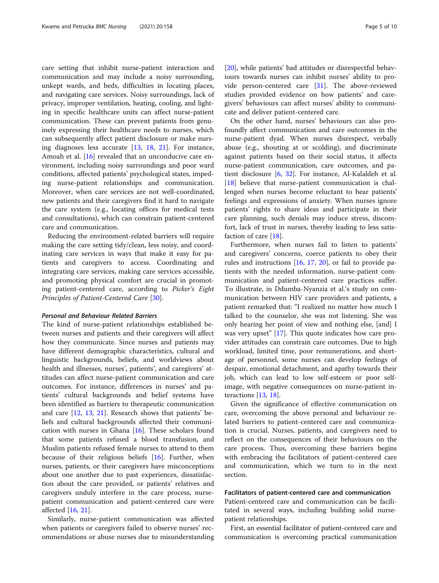care setting that inhibit nurse-patient interaction and communication and may include a noisy surrounding, unkept wards, and beds, difficulties in locating places, and navigating care services. Noisy surroundings, lack of privacy, improper ventilation, heating, cooling, and lighting in specific healthcare units can affect nurse-patient communication. These can prevent patients from genuinely expressing their healthcare needs to nurses, which can subsequently affect patient disclosure or make nursing diagnoses less accurate [\[13](#page-8-0), [18](#page-8-0), [21](#page-9-0)]. For instance, Amoah et al. [\[16](#page-8-0)] revealed that an unconducive care environment, including noisy surroundings and poor ward conditions, affected patients' psychological states, impeding nurse-patient relationships and communication. Moreover, when care services are not well-coordinated, new patients and their caregivers find it hard to navigate the care system (e.g., locating offices for medical tests and consultations), which can constrain patient-centered care and communication.

Reducing the environment-related barriers will require making the care setting tidy/clean, less noisy, and coordinating care services in ways that make it easy for patients and caregivers to access. Coordinating and integrating care services, making care services accessible, and promoting physical comfort are crucial in promoting patient-centered care, according to Picker's Eight Principles of Patient-Centered Care [[30\]](#page-9-0).

# Personal and Behaviour Related Barriers

The kind of nurse-patient relationships established between nurses and patients and their caregivers will affect how they communicate. Since nurses and patients may have different demographic characteristics, cultural and linguistic backgrounds, beliefs, and worldviews about health and illnesses, nurses', patients', and caregivers' attitudes can affect nurse-patient communication and care outcomes. For instance, differences in nurses' and patients' cultural backgrounds and belief systems have been identified as barriers to therapeutic communication and care [[12](#page-8-0), [13](#page-8-0), [21](#page-9-0)]. Research shows that patients' beliefs and cultural backgrounds affected their communication with nurses in Ghana [[16\]](#page-8-0). These scholars found that some patients refused a blood transfusion, and Muslim patients refused female nurses to attend to them because of their religious beliefs [[16\]](#page-8-0). Further, when nurses, patients, or their caregivers have misconceptions about one another due to past experiences, dissatisfaction about the care provided, or patients' relatives and caregivers unduly interfere in the care process, nursepatient communication and patient-centered care were affected [[16](#page-8-0), [21](#page-9-0)].

Similarly, nurse-patient communication was affected when patients or caregivers failed to observe nurses' recommendations or abuse nurses due to misunderstanding

[[20\]](#page-9-0), while patients' bad attitudes or disrespectful behaviours towards nurses can inhibit nurses' ability to provide person-centered care [[31](#page-9-0)]. The above-reviewed studies provided evidence on how patients' and caregivers' behaviours can affect nurses' ability to communicate and deliver patient-centered care.

On the other hand, nurses' behaviours can also profoundly affect communication and care outcomes in the nurse-patient dyad. When nurses disrespect, verbally abuse (e.g., shouting at or scolding), and discriminate against patients based on their social status, it affects nurse-patient communication, care outcomes, and patient disclosure [[6,](#page-8-0) [32](#page-9-0)]. For instance, Al-Kalaldeh et al. [[18\]](#page-8-0) believe that nurse-patient communication is challenged when nurses become reluctant to hear patients' feelings and expressions of anxiety. When nurses ignore patients' rights to share ideas and participate in their care planning, such denials may induce stress, discomfort, lack of trust in nurses, thereby leading to less satisfaction of care [\[18](#page-8-0)].

Furthermore, when nurses fail to listen to patients' and caregivers' concerns, coerce patients to obey their rules and instructions [[16](#page-8-0), [17,](#page-8-0) [20](#page-9-0)], or fail to provide patients with the needed information, nurse-patient communication and patient-centered care practices suffer. To illustrate, in Ddumba-Nyanzia et al.'s study on communication between HIV care providers and patients, a patient remarked that: "I realized no matter how much I talked to the counselor, she was not listening. She was only hearing her point of view and nothing else, [and] I was very upset" [\[17\]](#page-8-0). This quote indicates how care provider attitudes can constrain care outcomes. Due to high workload, limited time, poor remunerations, and shortage of personnel, some nurses can develop feelings of despair, emotional detachment, and apathy towards their job, which can lead to low self-esteem or poor selfimage, with negative consequences on nurse-patient interactions [[13,](#page-8-0) [18\]](#page-8-0).

Given the significance of effective communication on care, overcoming the above personal and behaviour related barriers to patient-centered care and communication is crucial. Nurses, patients, and caregivers need to reflect on the consequences of their behaviours on the care process. Thus, overcoming these barriers begins with embracing the facilitators of patient-centered care and communication, which we turn to in the next section.

### Facilitators of patient-centered care and communication

Patient-centered care and communication can be facilitated in several ways, including building solid nursepatient relationships.

First, an essential facilitator of patient-centered care and communication is overcoming practical communication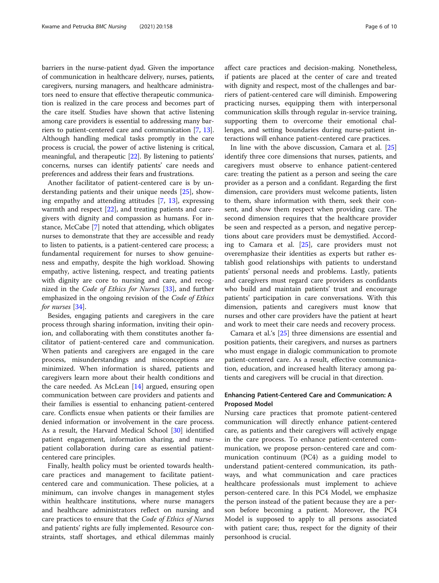barriers in the nurse-patient dyad. Given the importance of communication in healthcare delivery, nurses, patients, caregivers, nursing managers, and healthcare administrators need to ensure that effective therapeutic communication is realized in the care process and becomes part of the care itself. Studies have shown that active listening among care providers is essential to addressing many barriers to patient-centered care and communication [\[7](#page-8-0), [13](#page-8-0)]. Although handling medical tasks promptly in the care process is crucial, the power of active listening is critical, meaningful, and therapeutic [[22](#page-9-0)]. By listening to patients' concerns, nurses can identify patients' care needs and preferences and address their fears and frustrations.

Another facilitator of patient-centered care is by understanding patients and their unique needs [\[25\]](#page-9-0), showing empathy and attending attitudes [\[7](#page-8-0), [13](#page-8-0)], expressing warmth and respect [\[22\]](#page-9-0), and treating patients and caregivers with dignity and compassion as humans. For instance, McCabe [[7](#page-8-0)] noted that attending, which obligates nurses to demonstrate that they are accessible and ready to listen to patients, is a patient-centered care process; a fundamental requirement for nurses to show genuineness and empathy, despite the high workload. Showing empathy, active listening, respect, and treating patients with dignity are core to nursing and care, and recognized in the Code of Ethics for Nurses [\[33\]](#page-9-0), and further emphasized in the ongoing revision of the Code of Ethics for nurses [\[34\]](#page-9-0).

Besides, engaging patients and caregivers in the care process through sharing information, inviting their opinion, and collaborating with them constitutes another facilitator of patient-centered care and communication. When patients and caregivers are engaged in the care process, misunderstandings and misconceptions are minimized. When information is shared, patients and caregivers learn more about their health conditions and the care needed. As McLean [[14\]](#page-8-0) argued, ensuring open communication between care providers and patients and their families is essential to enhancing patient-centered care. Conflicts ensue when patients or their families are denied information or involvement in the care process. As a result, the Harvard Medical School [\[30\]](#page-9-0) identified patient engagement, information sharing, and nursepatient collaboration during care as essential patientcentered care principles.

Finally, health policy must be oriented towards healthcare practices and management to facilitate patientcentered care and communication. These policies, at a minimum, can involve changes in management styles within healthcare institutions, where nurse managers and healthcare administrators reflect on nursing and care practices to ensure that the Code of Ethics of Nurses and patients' rights are fully implemented. Resource constraints, staff shortages, and ethical dilemmas mainly affect care practices and decision-making. Nonetheless, if patients are placed at the center of care and treated with dignity and respect, most of the challenges and barriers of patient-centered care will diminish. Empowering practicing nurses, equipping them with interpersonal communication skills through regular in-service training, supporting them to overcome their emotional challenges, and setting boundaries during nurse-patient interactions will enhance patient-centered care practices.

In line with the above discussion, Camara et al. [[25](#page-9-0)] identify three core dimensions that nurses, patients, and caregivers must observe to enhance patient-centered care: treating the patient as a person and seeing the care provider as a person and a confidant. Regarding the first dimension, care providers must welcome patients, listen to them, share information with them, seek their consent, and show them respect when providing care. The second dimension requires that the healthcare provider be seen and respected as a person, and negative perceptions about care providers must be demystified. According to Camara et al. [[25\]](#page-9-0), care providers must not overemphasize their identities as experts but rather establish good relationships with patients to understand patients' personal needs and problems. Lastly, patients and caregivers must regard care providers as confidants who build and maintain patients' trust and encourage patients' participation in care conversations. With this dimension, patients and caregivers must know that nurses and other care providers have the patient at heart and work to meet their care needs and recovery process.

Camara et al.'s [[25\]](#page-9-0) three dimensions are essential and position patients, their caregivers, and nurses as partners who must engage in dialogic communication to promote patient-centered care. As a result, effective communication, education, and increased health literacy among patients and caregivers will be crucial in that direction.

# Enhancing Patient-Centered Care and Communication: A Proposed Model

Nursing care practices that promote patient-centered communication will directly enhance patient-centered care, as patients and their caregivers will actively engage in the care process. To enhance patient-centered communication, we propose person-centered care and communication continuum (PC4) as a guiding model to understand patient-centered communication, its pathways, and what communication and care practices healthcare professionals must implement to achieve person-centered care. In this PC4 Model, we emphasize the person instead of the patient because they are a person before becoming a patient. Moreover, the PC4 Model is supposed to apply to all persons associated with patient care; thus, respect for the dignity of their personhood is crucial.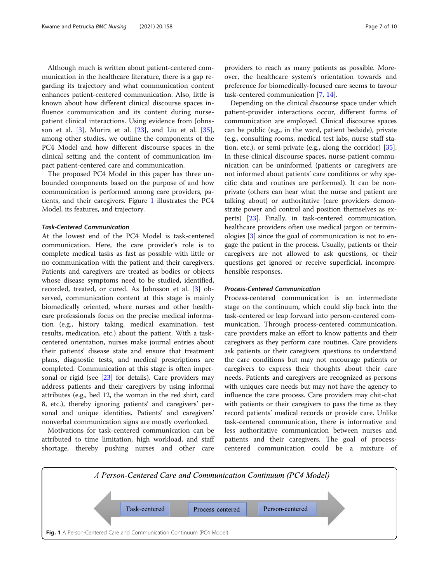Although much is written about patient-centered communication in the healthcare literature, there is a gap regarding its trajectory and what communication content enhances patient-centered communication. Also, little is known about how different clinical discourse spaces influence communication and its content during nursepatient clinical interactions. Using evidence from Johnsson et al. [\[3](#page-8-0)], Murira et al. [[23\]](#page-9-0), and Liu et al. [\[35](#page-9-0)], among other studies, we outline the components of the PC4 Model and how different discourse spaces in the clinical setting and the content of communication impact patient-centered care and communication.

The proposed PC4 Model in this paper has three unbounded components based on the purpose of and how communication is performed among care providers, patients, and their caregivers. Figure 1 illustrates the PC4 Model, its features, and trajectory.

# Task-Centered Communication

At the lowest end of the PC4 Model is task-centered communication. Here, the care provider's role is to complete medical tasks as fast as possible with little or no communication with the patient and their caregivers. Patients and caregivers are treated as bodies or objects whose disease symptoms need to be studied, identified, recorded, treated, or cured. As Johnsson et al. [\[3\]](#page-8-0) observed, communication content at this stage is mainly biomedically oriented, where nurses and other healthcare professionals focus on the precise medical information (e.g., history taking, medical examination, test results, medication, etc.) about the patient. With a taskcentered orientation, nurses make journal entries about their patients' disease state and ensure that treatment plans, diagnostic tests, and medical prescriptions are completed. Communication at this stage is often impersonal or rigid (see [\[23](#page-9-0)] for details). Care providers may address patients and their caregivers by using informal attributes (e.g., bed 12, the woman in the red shirt, card 8, etc.), thereby ignoring patients' and caregivers' personal and unique identities. Patients' and caregivers' nonverbal communication signs are mostly overlooked.

Motivations for task-centered communication can be attributed to time limitation, high workload, and staff shortage, thereby pushing nurses and other care providers to reach as many patients as possible. Moreover, the healthcare system's orientation towards and preference for biomedically-focused care seems to favour task-centered communication [[7,](#page-8-0) [14\]](#page-8-0).

Depending on the clinical discourse space under which patient-provider interactions occur, different forms of communication are employed. Clinical discourse spaces can be public (e.g., in the ward, patient bedside), private (e.g., consulting rooms, medical test labs, nurse staff station, etc.), or semi-private (e.g., along the corridor) [\[35](#page-9-0)]. In these clinical discourse spaces, nurse-patient communication can be uninformed (patients or caregivers are not informed about patients' care conditions or why specific data and routines are performed). It can be nonprivate (others can hear what the nurse and patient are talking about) or authoritative (care providers demonstrate power and control and position themselves as experts) [\[23\]](#page-9-0). Finally, in task-centered communication, healthcare providers often use medical jargon or terminologies [\[3](#page-8-0)] since the goal of communication is not to engage the patient in the process. Usually, patients or their caregivers are not allowed to ask questions, or their questions get ignored or receive superficial, incomprehensible responses.

# Process-Centered Communication

Process-centered communication is an intermediate stage on the continuum, which could slip back into the task-centered or leap forward into person-centered communication. Through process-centered communication, care providers make an effort to know patients and their caregivers as they perform care routines. Care providers ask patients or their caregivers questions to understand the care conditions but may not encourage patients or caregivers to express their thoughts about their care needs. Patients and caregivers are recognized as persons with uniques care needs but may not have the agency to influence the care process. Care providers may chit-chat with patients or their caregivers to pass the time as they record patients' medical records or provide care. Unlike task-centered communication, there is informative and less authoritative communication between nurses and patients and their caregivers. The goal of processcentered communication could be a mixture of

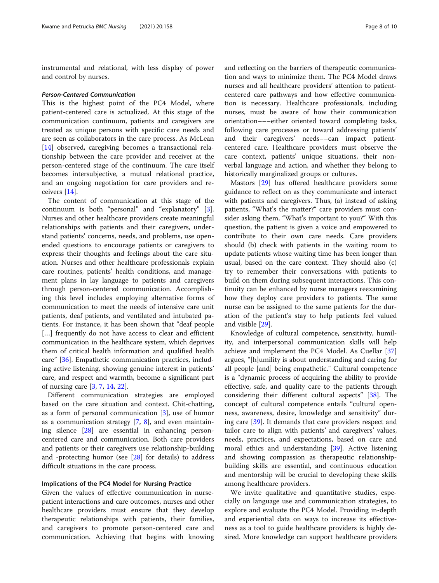instrumental and relational, with less display of power and control by nurses.

#### Person-Centered Communication

This is the highest point of the PC4 Model, where patient-centered care is actualized. At this stage of the communication continuum, patients and caregivers are treated as unique persons with specific care needs and are seen as collaborators in the care process. As McLean [[14\]](#page-8-0) observed, caregiving becomes a transactional relationship between the care provider and receiver at the person-centered stage of the continuum. The care itself becomes intersubjective, a mutual relational practice, and an ongoing negotiation for care providers and receivers [[14](#page-8-0)].

The content of communication at this stage of the continuum is both "personal" and "explanatory" [\[3](#page-8-0)]. Nurses and other healthcare providers create meaningful relationships with patients and their caregivers, understand patients' concerns, needs, and problems, use openended questions to encourage patients or caregivers to express their thoughts and feelings about the care situation. Nurses and other healthcare professionals explain care routines, patients' health conditions, and management plans in lay language to patients and caregivers through person-centered communication. Accomplishing this level includes employing alternative forms of communication to meet the needs of intensive care unit patients, deaf patients, and ventilated and intubated patients. For instance, it has been shown that "deaf people [...] frequently do not have access to clear and efficient communication in the healthcare system, which deprives them of critical health information and qualified health care" [[36\]](#page-9-0). Empathetic communication practices, including active listening, showing genuine interest in patients' care, and respect and warmth, become a significant part of nursing care [\[3](#page-8-0), [7](#page-8-0), [14](#page-8-0), [22](#page-9-0)].

Different communication strategies are employed based on the care situation and context. Chit-chatting, as a form of personal communication [\[3](#page-8-0)], use of humor as a communication strategy [\[7](#page-8-0), [8](#page-8-0)], and even maintaining silence [\[28\]](#page-9-0) are essential in enhancing personcentered care and communication. Both care providers and patients or their caregivers use relationship-building and -protecting humor (see [[28\]](#page-9-0) for details) to address difficult situations in the care process.

# Implications of the PC4 Model for Nursing Practice

Given the values of effective communication in nursepatient interactions and care outcomes, nurses and other healthcare providers must ensure that they develop therapeutic relationships with patients, their families, and caregivers to promote person-centered care and communication. Achieving that begins with knowing and reflecting on the barriers of therapeutic communication and ways to minimize them. The PC4 Model draws nurses and all healthcare providers' attention to patientcentered care pathways and how effective communication is necessary. Healthcare professionals, including nurses, must be aware of how their communication orientation–––either oriented toward completing tasks, following care processes or toward addressing patients' and their caregivers' needs––can impact patientcentered care. Healthcare providers must observe the care context, patients' unique situations, their nonverbal language and action, and whether they belong to historically marginalized groups or cultures.

Mastors [\[29](#page-9-0)] has offered healthcare providers some guidance to reflect on as they communicate and interact with patients and caregivers. Thus, (a) instead of asking patients, "What's the matter?" care providers must consider asking them, "What's important to you?" With this question, the patient is given a voice and empowered to contribute to their own care needs. Care providers should (b) check with patients in the waiting room to update patients whose waiting time has been longer than usual, based on the care context. They should also (c) try to remember their conversations with patients to build on them during subsequent interactions. This continuity can be enhanced by nurse managers reexamining how they deploy care providers to patients. The same nurse can be assigned to the same patients for the duration of the patient's stay to help patients feel valued and visible [\[29](#page-9-0)].

Knowledge of cultural competence, sensitivity, humility, and interpersonal communication skills will help achieve and implement the PC4 Model. As Cuellar [[37](#page-9-0)] argues, "[h]umility is about understanding and caring for all people [and] being empathetic." Cultural competence is a "dynamic process of acquiring the ability to provide effective, safe, and quality care to the patients through considering their different cultural aspects" [[38](#page-9-0)]. The concept of cultural competence entails "cultural openness, awareness, desire, knowledge and sensitivity" during care [[39](#page-9-0)]. It demands that care providers respect and tailor care to align with patients' and caregivers' values, needs, practices, and expectations, based on care and moral ethics and understanding [[39](#page-9-0)]. Active listening and showing compassion as therapeutic relationshipbuilding skills are essential, and continuous education and mentorship will be crucial to developing these skills among healthcare providers.

We invite qualitative and quantitative studies, especially on language use and communication strategies, to explore and evaluate the PC4 Model. Providing in-depth and experiential data on ways to increase its effectiveness as a tool to guide healthcare providers is highly desired. More knowledge can support healthcare providers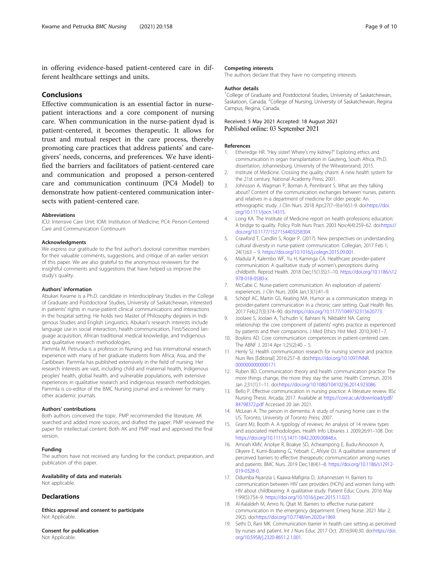<span id="page-8-0"></span>in offering evidence-based patient-centered care in different healthcare settings and units.

# **Conclusions**

Effective communication is an essential factor in nursepatient interactions and a core component of nursing care. When communication in the nurse-patient dyad is patient-centered, it becomes therapeutic. It allows for trust and mutual respect in the care process, thereby promoting care practices that address patients' and caregivers' needs, concerns, and preferences. We have identified the barriers and facilitators of patient-centered care and communication and proposed a person-centered care and communication continuum (PC4 Model) to demonstrate how patient-centered communication intersects with patient-centered care.

#### **Abbreviations**

ICU: Intensive Care Unit; IOM: Institution of Medicine; PC4: Person-Centered Care and Communication Continuum

#### Acknowledgments

We express our gratitude to the first author's doctoral committee members for their valuable comments, suggestions, and critique of an earlier version of this paper. We are also grateful to the anonymous reviewers for the insightful comments and suggestions that have helped us improve the study's quality.

# Authors' information

Abukari Kwame is a Ph.D. candidate in Interdisciplinary Studies in the College of Graduate and Postdoctoral Studies, University of Saskatchewan, interested in patients' rights in nurse-patient clinical communications and interactions in the hospital setting. He holds two Master of Philosophy degrees in Indigenous Studies and English Linguistics. Abukari's research interests include language use in social interaction, health communication, First/Second language acquisition, African traditional medical knowledge, and Indigenous and qualitative research methodologies.

Pammla M. Petrucka is a professor in Nursing and has international research experience with many of her graduate students from Africa, Asia, and the Caribbean. Pammla has published extensively in the field of nursing. Her research interests are vast, including child and maternal health, Indigenous peoples' health, global health, and vulnerable populations, with extensive experiences in qualitative research and indigenous research methodologies. Pammla is co-editor of the BMC Nursing journal and a reviewer for many other academic journals.

#### Authors' contributions

Both authors conceived the topic. PMP recommended the literature, AK searched and added more sources, and drafted the paper. PMP reviewed the paper for intellectual content. Both AK and PMP read and approved the final version.

#### Funding

The authors have not received any funding for the conduct, preparation, and publication of this paper.

# Availability of data and materials

Not applicable.

# **Declarations**

Ethics approval and consent to participate Not Applicable.

Consent for publication Not Applicable.

#### Competing interests

The authors declare that they have no competing interests.

#### Author details

<sup>1</sup>College of Graduate and Postdoctoral Studies, University of Saskatchewan Saskatoon, Canada. <sup>2</sup>College of Nursing, University of Saskatchewan, Regina Campus, Regina, Canada.

# Received: 5 May 2021 Accepted: 18 August 2021 Published online: 03 September 2021

#### References

- 1. Etheredge HR. "Hey sister! Where's my kidney?" Exploring ethics and communication in organ transplantation in Gauteng, South Africa, Ph.D. dissertation, Johannesburg. University of the Witwatersrand; 2015.
- 2. Institute of Medicine. Crossing the quality chasm: A new health system for the 21st century. National Academy Press; 2001.
- 3. Johnsson A, Wagman P, Boman A, Pennbrant S. What are they talking about? Content of the communication exchanges between nurses, patients and relatives in a department of medicine for older people: An ethnographic study. J Clin Nurs. 2018 Apr;27(7–9):e1651-9. doi:[https://doi.](https://doi.org/10.1111/jocn.14315) [org/10.1111/jocn.14315](https://doi.org/10.1111/jocn.14315).
- 4. Long KA. The Institute of Medicine report on health professions education: A bridge to quality. Policy Polit Nurs Pract. 2003 Nov;4(4):259–62. doi[:https://](https://doi.org/10.1177/1527154403258304) [doi.org/10.1177/1527154403258304.](https://doi.org/10.1177/1527154403258304)
- 5. Crawford T, Candlin S, Roger P. (2017). New perspectives on understanding cultural diversity in nurse-patient communication. Collegian, 2017 Feb 1; 24(1):63 – 9. [https://doi.org/10.1016/j.colegn.2015.09.001.](https://doi.org/10.1016/j.colegn.2015.09.001)
- 6. Madula P, Kalembo WF, Yu H, Kaminga CA. Healthcare provider-patient communication: A qualitative study of women's perceptions during childbirth. Reprod Health. 2018 Dec;15(135):1–10. [https://doi.org/10.1186/s12](https://doi.org/10.1186/s12978-018-0580-x) [978-018-0580-x](https://doi.org/10.1186/s12978-018-0580-x).
- 7. McCabe C. Nurse-patient communication: An exploration of patients' experiences. J Clin Nurs. 2004 Jan;13(1):41–9.
- 8. Schöpf AC, Martin GS, Keating MA. Humor as a communication strategy in provider-patient communication in a chronic care setting. Qual Health Res. 2017 Feb;27(3):374–90. doi:<https://doi.org/10.1177/1049732315620773>.
- 9. Joolaee S, Joolaei A, Tschudin V, Bahrani N, Nikbakht NA. Caring relationship: the core component of patients' rights practice as experienced by patients and their companions. J Med Ethics Hist Med. 2010;3(4):1–7.
- 10. Boykins AD. Core communication competences in patient-centered care. The ABNF J. 2014 Apr 1;25(2):40 – 5.
- 11. Henly SJ. Health communication research for nursing science and practice. Nurs Res [Editorial] 2016:257–8. doi:[https://doi.org/10.1097/NNR.](https://doi.org/10.1097/NNR.0000000000000171) [0000000000000171](https://doi.org/10.1097/NNR.0000000000000171).
- 12. Ruben BD. Communication theory and health communication practice: The more things change, the more they stay the same. Health Commun. 2016 Jan 2;31(1):1–11. doi[:https://doi.org/10.1080/10410236.2014.923086](https://doi.org/10.1080/10410236.2014.923086).
- 13. Bello P. Effective communication in nursing practice: A literature review. BSc Nursing Thesis. Arcada; 2017. Available at [https://core.ac.uk/download/pdf/](https://core.ac.uk/download/pdf/84798372.pdf) [84798372.pdf](https://core.ac.uk/download/pdf/84798372.pdf) Accessed 20 Jan 2021.
- 14. McLean A. The person in dementia: A study of nursing home care in the US. Toronto, University of Toronto Press; 2007.
- 15. Grant MJ, Booth A. A typology of reviews: An analysis of 14 review types and associated methodologies. Health Info Libraries J. 2009;26:91–108. Doi: <https://doi.org/10.1111/j.1471-1842.2009.00848.x>.
- 16. Amoah KMV, Anokye R, Boakye SD, Acheampong E, Budu-Ainooson A, Okyere E, Kumi-Boateng G, Yeboah C, Afriyie OJ. A qualitative assessment of perceived barriers to effective therapeutic communication among nurses and patients. BMC Nurs. 2019 Dec;18(4)1–8. [https://doi.org/10.1186/s12912-](https://doi.org/10.1186/s12912-019-0328-0) [019-0328-0](https://doi.org/10.1186/s12912-019-0328-0).
- 17. Ddumba-Nyanzia I, Kaawa-Mafigiria D, Johannessen H. Barriers to communication between HIV care providers (HCPs) and women living with HIV about childbearing: A qualitative study. Patient Educ Couns. 2016 May 1:99(5):754–9. [https://doi.org/10.1016/j.pec.2015.11.023.](https://doi.org/10.1016/j.pec.2015.11.023)
- 18. Al-Kalaldeh M, Amro N, Qtait M. Barriers to effective nurse-patient communication in the emergency department. Emerg Nurse. 2021 Mar 2; 29(2). doi[:https://doi.org/10.7748/en.2020.e1969.](https://doi.org/10.7748/en.2020.e1969)
- 19. Sethi D, Rani MK. Communication barrier in health care setting as perceived by nurses and patient. Int J Nurs Educ 2017 Oct. 2016;9(4):30. doi:[https://doi.](https://doi.org/10.5958/j.2320-8651.2.1.001) [org/10.5958/j.2320-8651.2.1.001.](https://doi.org/10.5958/j.2320-8651.2.1.001)